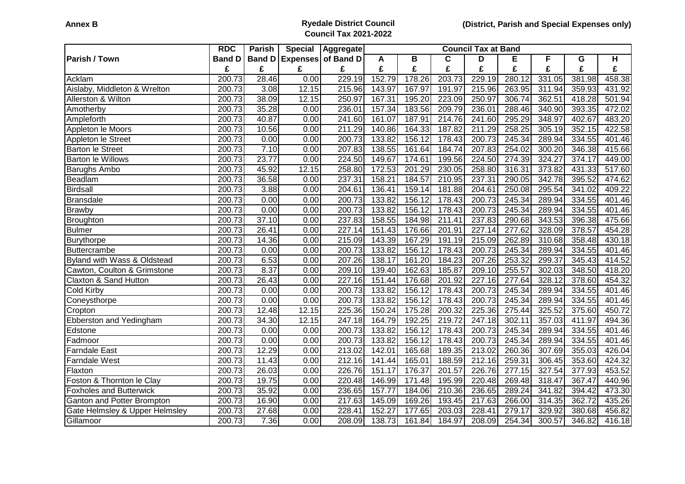## **Annex B Ryedale District Council Council Tax 2021-2022**

|                                        | <b>RDC</b>          | Parish        | <b>Special</b> | Aggregate          | <b>Council Tax at Band</b> |        |             |        |        |        |        |        |
|----------------------------------------|---------------------|---------------|----------------|--------------------|----------------------------|--------|-------------|--------|--------|--------|--------|--------|
| <b>Parish / Town</b>                   | <b>Band D</b>       | <b>Band D</b> |                | Expenses of Band D | A                          | B      | $\mathbf c$ | D      | E      | F      | G      | H      |
|                                        | £                   | £             | £              | £                  | £                          | £      | £           | £      | £      | £      | £      | £      |
| Acklam                                 | 200.73              | 28.46         | 0.00           | 229.19             | 152.79                     | 178.26 | 203.73      | 229.19 | 280.12 | 331.05 | 381.98 | 458.38 |
| Aislaby, Middleton & Wrelton           | $\overline{200.73}$ | 3.08          | 12.15          | 215.96             | 143.97                     | 167.97 | 191.97      | 215.96 | 263.95 | 311.94 | 359.93 | 431.92 |
| Allerston & Wilton                     | 200.73              | 38.09         | 12.15          | 250.97             | 167.31                     | 195.20 | 223.09      | 250.97 | 306.74 | 362.51 | 418.28 | 501.94 |
| Amotherby                              | 200.73              | 35.28         | 0.00           | 236.01             | 157.34                     | 183.56 | 209.79      | 236.01 | 288.46 | 340.90 | 393.35 | 472.02 |
| Ampleforth                             | 200.73              | 40.87         | 0.00           | 241.60             | 161.07                     | 187.91 | 214.76      | 241.60 | 295.29 | 348.97 | 402.67 | 483.20 |
| Appleton le Moors                      | 200.73              | 10.56         | 0.00           | 211.29             | 140.86                     | 164.33 | 187.82      | 211.29 | 258.25 | 305.19 | 352.15 | 422.58 |
| Appleton le Street                     | 200.73              | 0.00          | 0.00           | 200.73             | 133.82                     | 156.12 | 178.43      | 200.73 | 245.34 | 289.94 | 334.55 | 401.46 |
| <b>Barton le Street</b>                | 200.73              | 7.10          | 0.00           | 207.83             | 138.55                     | 161.64 | 184.74      | 207.83 | 254.02 | 300.20 | 346.38 | 415.66 |
| <b>Barton le Willows</b>               | 200.73              | 23.77         | 0.00           | 224.50             | 149.67                     | 174.61 | 199.56      | 224.50 | 274.39 | 324.27 | 374.17 | 449.00 |
| <b>Barughs Ambo</b>                    | 200.73              | 45.92         | 12.15          | 258.80             | 172.53                     | 201.29 | 230.05      | 258.80 | 316.31 | 373.82 | 431.33 | 517.60 |
| Beadlam                                | 200.73              | 36.58         | 0.00           | 237.31             | 158.21                     | 184.57 | 210.95      | 237.31 | 290.05 | 342.78 | 395.52 | 474.62 |
| Birdsall                               | 200.73              | 3.88          | 0.00           | 204.61             | 136.41                     | 159.14 | 181.88      | 204.61 | 250.08 | 295.54 | 341.02 | 409.22 |
| <b>Bransdale</b>                       | 200.73              | 0.00          | 0.00           | 200.73             | 133.82                     | 156.12 | 178.43      | 200.73 | 245.34 | 289.94 | 334.55 | 401.46 |
| <b>Brawby</b>                          | 200.73              | 0.00          | 0.00           | 200.73             | 133.82                     | 156.12 | 178.43      | 200.73 | 245.34 | 289.94 | 334.55 | 401.46 |
| Broughton                              | 200.73              | 37.10         | 0.00           | 237.83             | 158.55                     | 184.98 | 211.41      | 237.83 | 290.68 | 343.53 | 396.38 | 475.66 |
| Bulmer                                 | 200.73              | 26.41         | 0.00           | 227.14             | 151.43                     | 176.66 | 201.91      | 227.14 | 277.62 | 328.09 | 378.57 | 454.28 |
| Burythorpe                             | 200.73              | 14.36         | 0.00           | 215.09             | 143.39                     | 167.29 | 191.19      | 215.09 | 262.89 | 310.68 | 358.48 | 430.18 |
| <b>Buttercrambe</b>                    | 200.73              | 0.00          | 0.00           | 200.73             | 133.82                     | 156.12 | 178.43      | 200.73 | 245.34 | 289.94 | 334.55 | 401.46 |
| <b>Byland with Wass &amp; Oldstead</b> | 200.73              | 6.53          | 0.00           | 207.26             | 138.17                     | 161.20 | 184.23      | 207.26 | 253.32 | 299.37 | 345.43 | 414.52 |
| Cawton, Coulton & Grimstone            | 200.73              | 8.37          | 0.00           | 209.10             | 139.40                     | 162.63 | 185.87      | 209.10 | 255.57 | 302.03 | 348.50 | 418.20 |
| Claxton & Sand Hutton                  | 200.73              | 26.43         | 0.00           | 227.16             | 151.44                     | 176.68 | 201.92      | 227.16 | 277.64 | 328.12 | 378.60 | 454.32 |
| Cold Kirby                             | $\overline{200.73}$ | 0.00          | 0.00           | 200.73             | 133.82                     | 156.12 | 178.43      | 200.73 | 245.34 | 289.94 | 334.55 | 401.46 |
| Coneysthorpe                           | 200.73              | 0.00          | 0.00           | 200.73             | 133.82                     | 156.12 | 178.43      | 200.73 | 245.34 | 289.94 | 334.55 | 401.46 |
| Cropton                                | 200.73              | 12.48         | 12.15          | 225.36             | 150.24                     | 175.28 | 200.32      | 225.36 | 275.44 | 325.52 | 375.60 | 450.72 |
| Ebberston and Yedingham                | 200.73              | 34.30         | 12.15          | 247.18             | 164.79                     | 192.25 | 219.72      | 247.18 | 302.11 | 357.03 | 411.97 | 494.36 |
| Edstone                                | 200.73              | 0.00          | 0.00           | 200.73             | 133.82                     | 156.12 | 178.43      | 200.73 | 245.34 | 289.94 | 334.55 | 401.46 |
| Fadmoor                                | 200.73              | 0.00          | 0.00           | 200.73             | 133.82                     | 156.12 | 178.43      | 200.73 | 245.34 | 289.94 | 334.55 | 401.46 |
| <b>Farndale East</b>                   | 200.73              | 12.29         | 0.00           | 213.02             | 142.01                     | 165.68 | 189.35      | 213.02 | 260.36 | 307.69 | 355.03 | 426.04 |
| <b>Farndale West</b>                   | 200.73              | 11.43         | 0.00           | 212.16             | 141.44                     | 165.01 | 188.59      | 212.16 | 259.31 | 306.45 | 353.60 | 424.32 |
| Flaxton                                | 200.73              | 26.03         | 0.00           | 226.76             | 151.17                     | 176.37 | 201.57      | 226.76 | 277.15 | 327.54 | 377.93 | 453.52 |
| Foston & Thornton le Clay              | 200.73              | 19.75         | 0.00           | 220.48             | 146.99                     | 171.48 | 195.99      | 220.48 | 269.48 | 318.47 | 367.47 | 440.96 |
| <b>Foxholes and Butterwick</b>         | 200.73              | 35.92         | 0.00           | 236.65             | 157.77                     | 184.06 | 210.36      | 236.65 | 289.24 | 341.82 | 394.42 | 473.30 |
| Ganton and Potter Brompton             | 200.73              | 16.90         | 0.00           | 217.63             | 145.09                     | 169.26 | 193.45      | 217.63 | 266.00 | 314.35 | 362.72 | 435.26 |
| Gate Helmsley & Upper Helmsley         | 200.73              | 27.68         | 0.00           | 228.41             | 152.27                     | 177.65 | 203.03      | 228.41 | 279.17 | 329.92 | 380.68 | 456.82 |
| Gillamoor                              | 200.73              | 7.36          | 0.00           | 208.09             | 138.73                     | 161.84 | 184.97      | 208.09 | 254.34 | 300.57 | 346.82 | 416.18 |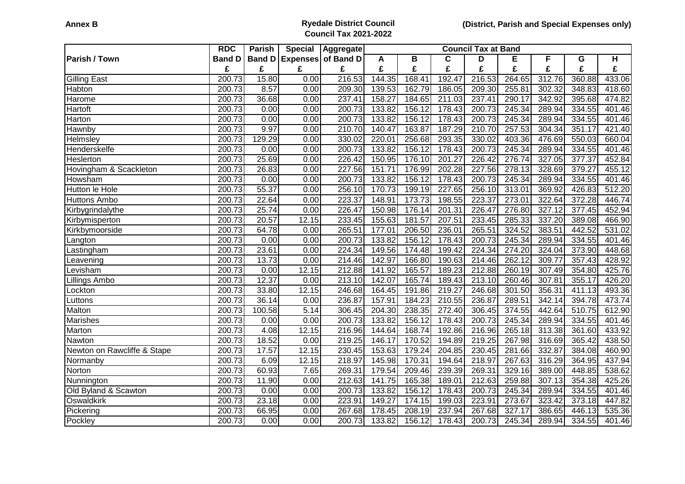## **Annex B Ryedale District Council Council Tax 2021-2022**

|                             | <b>RDC</b>          | Parish        | <b>Special</b> | Aggregate                 | <b>Council Tax at Band</b> |        |        |        |                     |        |        |        |
|-----------------------------|---------------------|---------------|----------------|---------------------------|----------------------------|--------|--------|--------|---------------------|--------|--------|--------|
| <b>Parish / Town</b>        | <b>Band D</b>       | <b>Band D</b> |                | <b>Expenses of Band D</b> | A                          | B      | C      | D      | Е                   | F      | G      | H      |
|                             | £                   | £             | £              | £                         | £                          | £      | £      | £      | £                   | £      | £      | £      |
| <b>Gilling East</b>         | 200.73              | 15.80         | 0.00           | 216.53                    | 144.35                     | 168.41 | 192.47 | 216.53 | 264.65              | 312.76 | 360.88 | 433.06 |
| Habton                      | 200.73              | 8.57          | 0.00           | 209.30                    | 139.53                     | 162.79 | 186.05 | 209.30 | 255.81              | 302.32 | 348.83 | 418.60 |
| Harome                      | 200.73              | 36.68         | 0.00           | 237.41                    | 158.27                     | 184.65 | 211.03 | 237.41 | 290.17              | 342.92 | 395.68 | 474.82 |
| Hartoft                     | 200.73              | 0.00          | 0.00           | 200.73                    | 133.82                     | 156.12 | 178.43 | 200.73 | 245.34              | 289.94 | 334.55 | 401.46 |
| Harton                      | 200.73              | 0.00          | 0.00           | 200.73                    | 133.82                     | 156.12 | 178.43 | 200.73 | 245.34              | 289.94 | 334.55 | 401.46 |
| Hawnby                      | 200.73              | 9.97          | 0.00           | 210.70                    | 140.47                     | 163.87 | 187.29 | 210.70 | 257.53              | 304.34 | 351.17 | 421.40 |
| Helmsley                    | 200.73              | 129.29        | 0.00           | 330.02                    | 220.01                     | 256.68 | 293.35 | 330.02 | 403.36              | 476.69 | 550.03 | 660.04 |
| Henderskelfe                | 200.73              | 0.00          | 0.00           | 200.73                    | 133.82                     | 156.12 | 178.43 | 200.73 | 245.34              | 289.94 | 334.55 | 401.46 |
| Heslerton                   | 200.73              | 25.69         | 0.00           | 226.42                    | 150.95                     | 176.10 | 201.27 | 226.42 | 276.74              | 327.05 | 377.37 | 452.84 |
| Hovingham & Scackleton      | 200.73              | 26.83         | 0.00           | 227.56                    | 151.71                     | 176.99 | 202.28 | 227.56 | $\overline{278.13}$ | 328.69 | 379.27 | 455.12 |
| Howsham                     | 200.73              | 0.00          | 0.00           | 200.73                    | 133.82                     | 156.12 | 178.43 | 200.73 | 245.34              | 289.94 | 334.55 | 401.46 |
| Hutton le Hole              | 200.73              | 55.37         | 0.00           | 256.10                    | 170.73                     | 199.19 | 227.65 | 256.10 | 313.01              | 369.92 | 426.83 | 512.20 |
| <b>Huttons Ambo</b>         | 200.73              | 22.64         | 0.00           | 223.37                    | 148.91                     | 173.73 | 198.55 | 223.37 | 273.01              | 322.64 | 372.28 | 446.74 |
| Kirbygrindalythe            | 200.73              | 25.74         | 0.00           | 226.47                    | 150.98                     | 176.14 | 201.31 | 226.47 | 276.80              | 327.12 | 377.45 | 452.94 |
| Kirbymisperton              | 200.73              | 20.57         | 12.15          | 233.45                    | 155.63                     | 181.57 | 207.51 | 233.45 | 285.33              | 337.20 | 389.08 | 466.90 |
| Kirkbymoorside              | $\overline{200.73}$ | 64.78         | 0.00           | 265.51                    | 177.01                     | 206.50 | 236.01 | 265.51 | 324.52              | 383.51 | 442.52 | 531.02 |
| Langton                     | 200.73              | 0.00          | 0.00           | 200.73                    | 133.82                     | 156.12 | 178.43 | 200.73 | 245.34              | 289.94 | 334.55 | 401.46 |
| Lastingham                  | 200.73              | 23.61         | 0.00           | 224.34                    | 149.56                     | 174.48 | 199.42 | 224.34 | 274.20              | 324.04 | 373.90 | 448.68 |
| Leavening                   | 200.73              | 13.73         | 0.00           | 214.46                    | 142.97                     | 166.80 | 190.63 | 214.46 | 262.12              | 309.77 | 357.43 | 428.92 |
| Levisham                    | 200.73              | 0.00          | 12.15          | 212.88                    | 141.92                     | 165.57 | 189.23 | 212.88 | 260.19              | 307.49 | 354.80 | 425.76 |
| Lillings Ambo               | 200.73              | 12.37         | 0.00           | 213.10                    | 142.07                     | 165.74 | 189.43 | 213.10 | 260.46              | 307.81 | 355.17 | 426.20 |
| Lockton                     | 200.73              | 33.80         | 12.15          | 246.68                    | 164.45                     | 191.86 | 219.27 | 246.68 | 301.50              | 356.31 | 411.13 | 493.36 |
| Luttons                     | 200.73              | 36.14         | 0.00           | 236.87                    | 157.91                     | 184.23 | 210.55 | 236.87 | 289.51              | 342.14 | 394.78 | 473.74 |
| Malton                      | 200.73              | 100.58        | 5.14           | 306.45                    | 204.30                     | 238.35 | 272.40 | 306.45 | 374.55              | 442.64 | 510.75 | 612.90 |
| Marishes                    | 200.73              | 0.00          | 0.00           | 200.73                    | 133.82                     | 156.12 | 178.43 | 200.73 | 245.34              | 289.94 | 334.55 | 401.46 |
| Marton                      | 200.73              | 4.08          | 12.15          | 216.96                    | 144.64                     | 168.74 | 192.86 | 216.96 | 265.18              | 313.38 | 361.60 | 433.92 |
| Nawton                      | 200.73              | 18.52         | 0.00           | 219.25                    | 146.17                     | 170.52 | 194.89 | 219.25 | 267.98              | 316.69 | 365.42 | 438.50 |
| Newton on Rawcliffe & Stape | 200.73              | 17.57         | 12.15          | 230.45                    | 153.63                     | 179.24 | 204.85 | 230.45 | 281.66              | 332.87 | 384.08 | 460.90 |
| Normanby                    | 200.73              | 6.09          | 12.15          | 218.97                    | 145.98                     | 170.31 | 194.64 | 218.97 | 267.63              | 316.29 | 364.95 | 437.94 |
| Norton                      | 200.73              | 60.93         | 7.65           | 269.31                    | 179.54                     | 209.46 | 239.39 | 269.31 | 329.16              | 389.00 | 448.85 | 538.62 |
| Nunnington                  | 200.73              | 11.90         | 0.00           | 212.63                    | 141.75                     | 165.38 | 189.01 | 212.63 | 259.88              | 307.13 | 354.38 | 425.26 |
| Old Byland & Scawton        | 200.73              | 0.00          | 0.00           | 200.73                    | 133.82                     | 156.12 | 178.43 | 200.73 | 245.34              | 289.94 | 334.55 | 401.46 |
| Oswaldkirk                  | 200.73              | 23.18         | 0.00           | 223.91                    | 149.27                     | 174.15 | 199.03 | 223.91 | 273.67              | 323.42 | 373.18 | 447.82 |
| Pickering                   | 200.73              | 66.95         | 0.00           | 267.68                    | 178.45                     | 208.19 | 237.94 | 267.68 | 327.17              | 386.65 | 446.13 | 535.36 |
| Pockley                     | 200.73              | 0.00          | 0.00           | 200.73                    | 133.82                     | 156.12 | 178.43 | 200.73 | 245.34              | 289.94 | 334.55 | 401.46 |